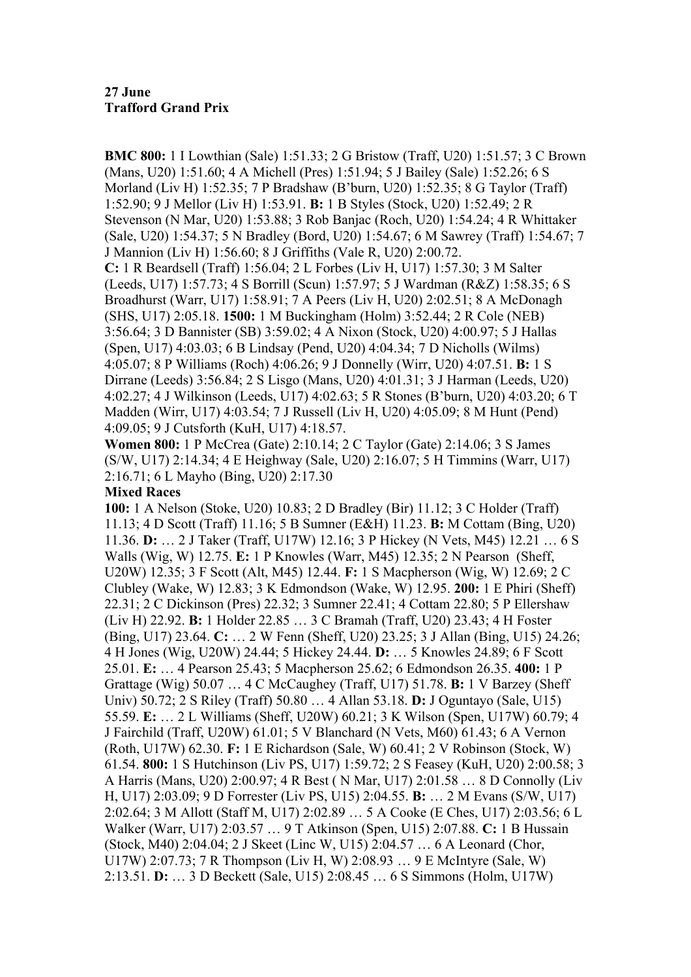**BMC 800:** 1 I Lowthian (Sale) 1:51.33; 2 G Bristow (Traff, U20) 1:51.57; 3 C Brown (Mans, U20) 1:51.60; 4 A Michell (Pres) 1:51.94; 5 J Bailey (Sale) 1:52.26; 6 S Morland (Liv H) 1:52.35; 7 P Bradshaw (B'burn, U20) 1:52.35; 8 G Taylor (Traff) 1:52.90; 9 J Mellor (Liv H) 1:53.91. **B:** 1 B Styles (Stock, U20) 1:52.49; 2 R Stevenson (N Mar, U20) 1:53.88; 3 Rob Banjac (Roch, U20) 1:54.24; 4 R Whittaker (Sale, U20) 1:54.37; 5 N Bradley (Bord, U20) 1:54.67; 6 M Sawrey (Traff) 1:54.67; 7 J Mannion (Liv H) 1:56.60; 8 J Griffiths (Vale R, U20) 2:00.72. **C:** 1 R Beardsell (Traff) 1:56.04; 2 L Forbes (Liv H, U17) 1:57.30; 3 M Salter (Leeds, U17) 1:57.73; 4 S Borrill (Scun) 1:57.97; 5 J Wardman (R&Z) 1:58.35; 6 S Broadhurst (Warr, U17) 1:58.91; 7 A Peers (Liv H, U20) 2:02.51; 8 A McDonagh (SHS, U17) 2:05.18. **1500:** 1 M Buckingham (Holm) 3:52.44; 2 R Cole (NEB) 3:56.64; 3 D Bannister (SB) 3:59.02; 4 A Nixon (Stock, U20) 4:00.97; 5 J Hallas (Spen, U17) 4:03.03; 6 B Lindsay (Pend, U20) 4:04.34; 7 D Nicholls (Wilms) 4:05.07; 8 P Williams (Roch) 4:06.26; 9 J Donnelly (Wirr, U20) 4:07.51. **B:** 1 S Dirrane (Leeds) 3:56.84; 2 S Lisgo (Mans, U20) 4:01.31; 3 J Harman (Leeds, U20) 4:02.27; 4 J Wilkinson (Leeds, U17) 4:02.63; 5 R Stones (B'burn, U20) 4:03.20; 6 T Madden (Wirr, U17) 4:03.54; 7 J Russell (Liv H, U20) 4:05.09; 8 M Hunt (Pend) 4:09.05; 9 J Cutsforth (KuH, U17) 4:18.57.

**Women 800:** 1 P McCrea (Gate) 2:10.14; 2 C Taylor (Gate) 2:14.06; 3 S James (S/W, U17) 2:14.34; 4 E Heighway (Sale, U20) 2:16.07; 5 H Timmins (Warr, U17) 2:16.71; 6 L Mayho (Bing, U20) 2:17.30

## **Mixed Races**

**100:** 1 A Nelson (Stoke, U20) 10.83; 2 D Bradley (Bir) 11.12; 3 C Holder (Traff) 11.13; 4 D Scott (Traff) 11.16; 5 B Sumner (E&H) 11.23. **B:** M Cottam (Bing, U20) 11.36. **D:** … 2 J Taker (Traff, U17W) 12.16; 3 P Hickey (N Vets, M45) 12.21 … 6 S Walls (Wig, W) 12.75. **E:** 1 P Knowles (Warr, M45) 12.35; 2 N Pearson (Sheff, U20W) 12.35; 3 F Scott (Alt, M45) 12.44. **F:** 1 S Macpherson (Wig, W) 12.69; 2 C Clubley (Wake, W) 12.83; 3 K Edmondson (Wake, W) 12.95. **200:** 1 E Phiri (Sheff) 22.31; 2 C Dickinson (Pres) 22.32; 3 Sumner 22.41; 4 Cottam 22.80; 5 P Ellershaw (Liv H) 22.92. **B:** 1 Holder 22.85 … 3 C Bramah (Traff, U20) 23.43; 4 H Foster (Bing, U17) 23.64. **C:** … 2 W Fenn (Sheff, U20) 23.25; 3 J Allan (Bing, U15) 24.26; 4 H Jones (Wig, U20W) 24.44; 5 Hickey 24.44. **D:** … 5 Knowles 24.89; 6 F Scott 25.01. **E:** … 4 Pearson 25.43; 5 Macpherson 25.62; 6 Edmondson 26.35. **400:** 1 P Grattage (Wig) 50.07 … 4 C McCaughey (Traff, U17) 51.78. **B:** 1 V Barzey (Sheff Univ) 50.72; 2 S Riley (Traff) 50.80 … 4 Allan 53.18. **D:** J Oguntayo (Sale, U15) 55.59. **E:** … 2 L Williams (Sheff, U20W) 60.21; 3 K Wilson (Spen, U17W) 60.79; 4 J Fairchild (Traff, U20W) 61.01; 5 V Blanchard (N Vets, M60) 61.43; 6 A Vernon (Roth, U17W) 62.30. **F:** 1 E Richardson (Sale, W) 60.41; 2 V Robinson (Stock, W) 61.54. **800:** 1 S Hutchinson (Liv PS, U17) 1:59.72; 2 S Feasey (KuH, U20) 2:00.58; 3 A Harris (Mans, U20) 2:00.97; 4 R Best ( N Mar, U17) 2:01.58 … 8 D Connolly (Liv H, U17) 2:03.09; 9 D Forrester (Liv PS, U15) 2:04.55. **B:** … 2 M Evans (S/W, U17) 2:02.64; 3 M Allott (Staff M, U17) 2:02.89 … 5 A Cooke (E Ches, U17) 2:03.56; 6 L Walker (Warr, U17) 2:03.57 … 9 T Atkinson (Spen, U15) 2:07.88. **C:** 1 B Hussain (Stock, M40) 2:04.04; 2 J Skeet (Linc W, U15) 2:04.57 … 6 A Leonard (Chor, U17W) 2:07.73; 7 R Thompson (Liv H, W) 2:08.93 … 9 E McIntyre (Sale, W) 2:13.51. **D:** … 3 D Beckett (Sale, U15) 2:08.45 … 6 S Simmons (Holm, U17W)